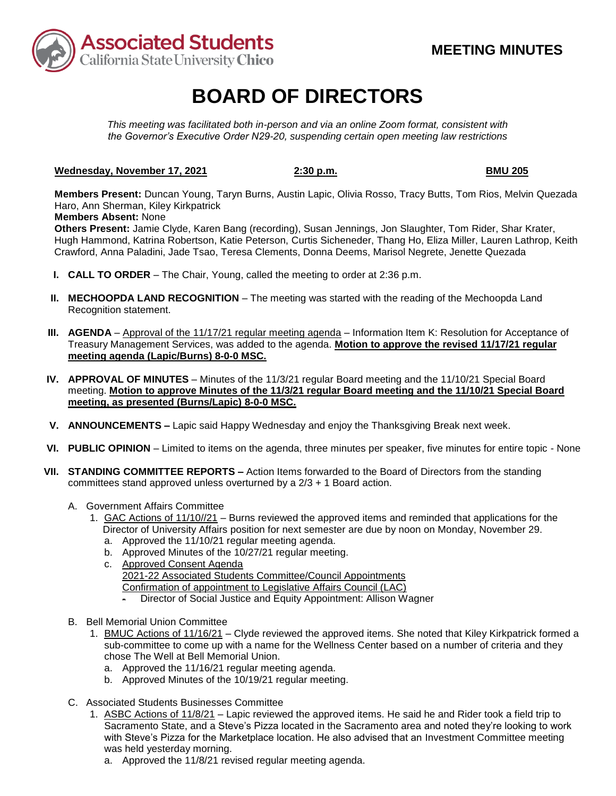

# **BOARD OF DIRECTORS**

*This meeting was facilitated both in-person and via an online Zoom format, consistent with the Governor's Executive Order N29-20, suspending certain open meeting law restrictions* 

### **Wednesday, November 17, 2021** 2:30 p.m. **BMU 205 BMU 205**

**Members Present:** Duncan Young, Taryn Burns, Austin Lapic, Olivia Rosso, Tracy Butts, Tom Rios, Melvin Quezada Haro, Ann Sherman, Kiley Kirkpatrick

### **Members Absent:** None

Others Present: Jamie Clyde, Karen Bang (recording), Susan Jennings, Jon Slaughter, Tom Rider, Shar Krater, Hugh Hammond, Katrina Robertson, Katie Peterson, Curtis Sicheneder, Thang Ho, Eliza Miller, Lauren Lathrop, Keith Crawford, Anna Paladini, Jade Tsao, Teresa Clements, Donna Deems, Marisol Negrete, Jenette Quezada

- **I. CALL TO ORDER**  The Chair, Young, called the meeting to order at 2:36 p.m.
- **II. MECHOOPDA LAND RECOGNITION** The meeting was started with the reading of the Mechoopda Land Recognition statement.
- **III.** AGENDA Approval of the 11/17/21 regular meeting agenda Information Item K: Resolution for Acceptance of Treasury Management Services, was added to the agenda. **Motion to approve the revised 11/17/21 regular meeting agenda (Lapic/Burns) 8-0-0 MSC.**
- **IV. APPROVAL OF MINUTES**  Minutes of the 11/3/21 regular Board meeting and the 11/10/21 Special Board meeting. **Motion to approve Minutes of the 11/3/21 regular Board meeting and the 11/10/21 Special Board meeting, as presented (Burns/Lapic) 8-0-0 MSC.**
- **V. ANNOUNCEMENTS –** Lapic said Happy Wednesday and enjoy the Thanksgiving Break next week.
- **VI. PUBLIC OPINION**  Limited to items on the agenda, three minutes per speaker, five minutes for entire topic None
- **VII. STANDING COMMITTEE REPORTS –** Action Items forwarded to the Board of Directors from the standing committees stand approved unless overturned by a 2/3 + 1 Board action.
	- A. Government Affairs Committee
		- 1. GAC Actions of 11/10//21 Burns reviewed the approved items and reminded that applications for the Director of University Affairs position for next semester are due by noon on Monday, November 29.
			- a. Approved the 11/10/21 regular meeting agenda.
			- b. Approved Minutes of the 10/27/21 regular meeting.
			- c. Approved Consent Agenda 2021-22 Associated Students Committee/Council Appointments Confirmation of appointment to Legislative Affairs Council (LAC)
				- Director of Social Justice and Equity Appointment: Allison Wagner
	- B. Bell Memorial Union Committee
		- chose The Well at Bell Memorial Union. 1. BMUC Actions of 11/16/21 – Clyde reviewed the approved items. She noted that Kiley Kirkpatrick formed a sub-committee to come up with a name for the Wellness Center based on a number of criteria and they
			- a. Approved the 11/16/21 regular meeting agenda.
			- b. Approved Minutes of the 10/19/21 regular meeting.
	- C. Associated Students Businesses Committee
		- 1. ASBC Actions of 11/8/21 Lapic reviewed the approved items. He said he and Rider took a field trip to Sacramento State, and a Steve's Pizza located in the Sacramento area and noted they're looking to work with Steve's Pizza for the Marketplace location. He also advised that an Investment Committee meeting was held yesterday morning.
			- a. Approved the 11/8/21 revised regular meeting agenda.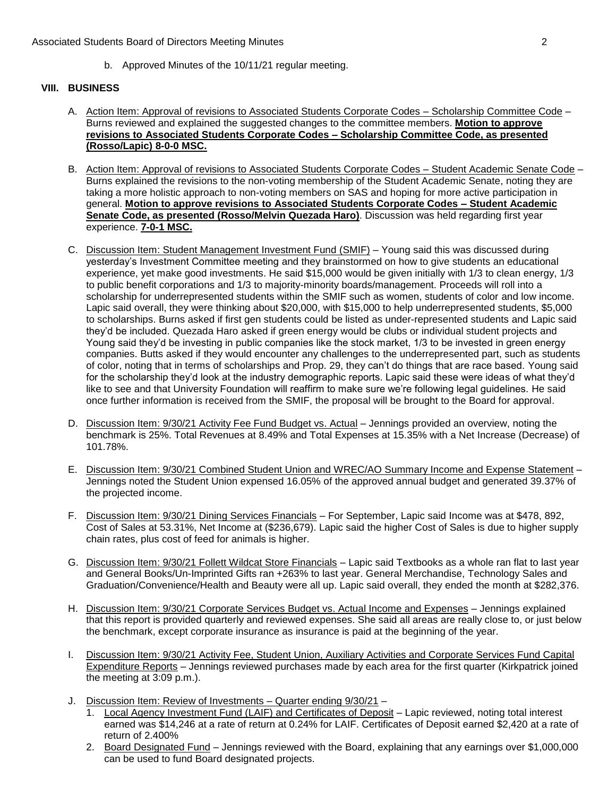b. Approved Minutes of the 10/11/21 regular meeting.

## **VIII. BUSINESS**

- A. Action Item: Approval of revisions to Associated Students Corporate Codes Scholarship Committee Code Burns reviewed and explained the suggested changes to the committee members. **Motion to approve revisions to Associated Students Corporate Codes – Scholarship Committee Code, as presented (Rosso/Lapic) 8-0-0 MSC.**
- general. **Motion to approve revisions to Associated Students Corporate Codes – Student Academic**  B. Action Item: Approval of revisions to Associated Students Corporate Codes – Student Academic Senate Code – Burns explained the revisions to the non-voting membership of the Student Academic Senate, noting they are taking a more holistic approach to non-voting members on SAS and hoping for more active participation in **Senate Code, as presented (Rosso/Melvin Quezada Haro)**. Discussion was held regarding first year experience. **7-0-1 MSC.**
- yesterday's Investment Committee meeting and they brainstormed on how to give students an educational to public benefit corporations and 1/3 to majority-minority boards/management. Proceeds will roll into a scholarship for underrepresented students within the SMIF such as women, students of color and low income. to scholarships. Burns asked if first gen students could be listed as under-represented students and Lapic said once further information is received from the SMIF, the proposal will be brought to the Board for approval. C. Discussion Item: Student Management Investment Fund (SMIF) – Young said this was discussed during experience, yet make good investments. He said \$15,000 would be given initially with 1/3 to clean energy, 1/3 Lapic said overall, they were thinking about \$20,000, with \$15,000 to help underrepresented students, \$5,000 they'd be included. Quezada Haro asked if green energy would be clubs or individual student projects and Young said they'd be investing in public companies like the stock market, 1/3 to be invested in green energy companies. Butts asked if they would encounter any challenges to the underrepresented part, such as students of color, noting that in terms of scholarships and Prop. 29, they can't do things that are race based. Young said for the scholarship they'd look at the industry demographic reports. Lapic said these were ideas of what they'd like to see and that University Foundation will reaffirm to make sure we're following legal guidelines. He said
- D. Discussion Item: 9/30/21 Activity Fee Fund Budget vs. Actual Jennings provided an overview, noting the benchmark is 25%. Total Revenues at 8.49% and Total Expenses at 15.35% with a Net Increase (Decrease) of 101.78%.
- Jennings noted the Student Union expensed 16.05% of the approved annual budget and generated 39.37% of E. Discussion Item: 9/30/21 Combined Student Union and WREC/AO Summary Income and Expense Statement – the projected income.
- F. Discussion Item: 9/30/21 Dining Services Financials For September, Lapic said Income was at \$478, 892, Cost of Sales at 53.31%, Net Income at (\$236,679). Lapic said the higher Cost of Sales is due to higher supply chain rates, plus cost of feed for animals is higher.
- and General Books/Un-Imprinted Gifts ran +263% to last year. General Merchandise, Technology Sales and Graduation/Convenience/Health and Beauty were all up. Lapic said overall, they ended the month at \$282,376. G. Discussion Item: 9/30/21 Follett Wildcat Store Financials - Lapic said Textbooks as a whole ran flat to last year
- that this report is provided quarterly and reviewed expenses. She said all areas are really close to, or just below H. Discussion Item: 9/30/21 Corporate Services Budget vs. Actual Income and Expenses - Jennings explained the benchmark, except corporate insurance as insurance is paid at the beginning of the year.
- I. Discussion Item: 9/30/21 Activity Fee, Student Union, Auxiliary Activities and Corporate Services Fund Capital Expenditure Reports – Jennings reviewed purchases made by each area for the first quarter (Kirkpatrick joined the meeting at 3:09 p.m.).
- J. Discussion Item: Review of Investments Quarter ending 9/30/21 -
	- 1. Local Agency Investment Fund (LAIF) and Certificates of Deposit Lapic reviewed, noting total interest earned was \$14,246 at a rate of return at 0.24% for LAIF. Certificates of Deposit earned \$2,420 at a rate of return of 2.400%
	- 2. Board Designated Fund Jennings reviewed with the Board, explaining that any earnings over \$1,000,000 can be used to fund Board designated projects.